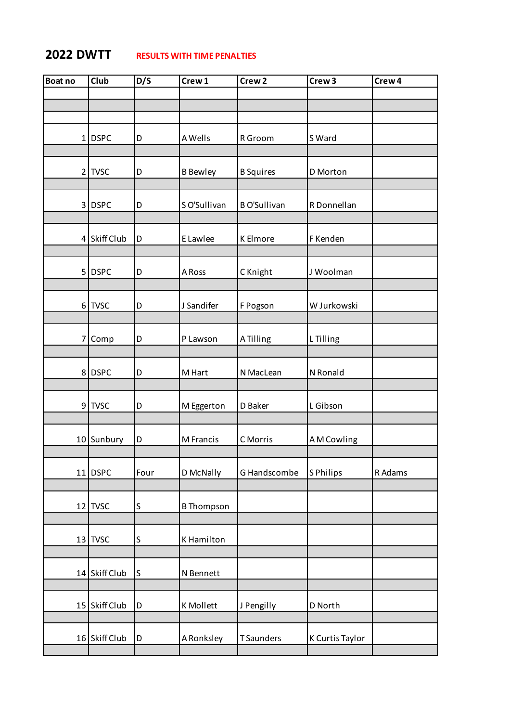## **2022 DWTT RESULTS WITH TIME PENALTIES**

| <b>Boat no</b> | Club          | D/S     | Crew 1            | Crew <sub>2</sub>   | Crew <sub>3</sub> | Crew <sub>4</sub> |
|----------------|---------------|---------|-------------------|---------------------|-------------------|-------------------|
|                |               |         |                   |                     |                   |                   |
|                |               |         |                   |                     |                   |                   |
|                |               |         |                   |                     |                   |                   |
|                | $1$ DSPC      | D       | A Wells           | R Groom             | S Ward            |                   |
|                |               |         |                   |                     |                   |                   |
|                |               |         |                   |                     |                   |                   |
| $\overline{2}$ | <b>TVSC</b>   | D       | <b>B</b> Bewley   | <b>B</b> Squires    | D Morton          |                   |
|                |               |         |                   |                     |                   |                   |
|                | 3 DSPC        | D       | S O'Sullivan      | <b>B O'Sullivan</b> | R Donnellan       |                   |
|                |               |         |                   |                     |                   |                   |
| 4              | Skiff Club    | D       | E Lawlee          | <b>K</b> Elmore     | F Kenden          |                   |
|                |               |         |                   |                     |                   |                   |
|                |               |         |                   |                     |                   |                   |
|                | 5 DSPC        | D       | A Ross            | C Knight            | J Woolman         |                   |
|                |               |         |                   |                     |                   |                   |
|                | 6 TVSC        | D       | J Sandifer        | F Pogson            | W Jurkowski       |                   |
|                |               |         |                   |                     |                   |                   |
|                |               |         |                   |                     |                   |                   |
|                | 7 Comp        | D       | P Lawson          | A Tilling           | L Tilling         |                   |
|                |               |         |                   |                     |                   |                   |
|                | 8 DSPC        | D       | M Hart            | N MacLean           | N Ronald          |                   |
|                |               |         |                   |                     |                   |                   |
|                | 9 TVSC        | D       | M Eggerton        | D Baker             | L Gibson          |                   |
|                |               |         |                   |                     |                   |                   |
|                |               |         |                   |                     |                   |                   |
|                | 10 Sunbury    | D       | M Francis         | C Morris            | A M Cowling       |                   |
|                |               |         |                   |                     |                   |                   |
|                | $11$ DSPC     | Four    | D McNally         | G Handscombe        | S Philips         | R Adams           |
|                |               |         |                   |                     |                   |                   |
|                |               |         |                   |                     |                   |                   |
|                | 12 TVSC       | $\sf S$ | <b>B</b> Thompson |                     |                   |                   |
|                |               |         |                   |                     |                   |                   |
|                | $13$ TVSC     | S       | K Hamilton        |                     |                   |                   |
|                |               |         |                   |                     |                   |                   |
|                | 14 Skiff Club | S       | N Bennett         |                     |                   |                   |
|                |               |         |                   |                     |                   |                   |
|                |               |         |                   |                     |                   |                   |
| 15             | Skiff Club    | D       | K Mollett         | J Pengilly          | D North           |                   |
|                |               |         |                   |                     |                   |                   |
|                | 16 Skiff Club | D       | A Ronksley        | <b>TSaunders</b>    | K Curtis Taylor   |                   |
|                |               |         |                   |                     |                   |                   |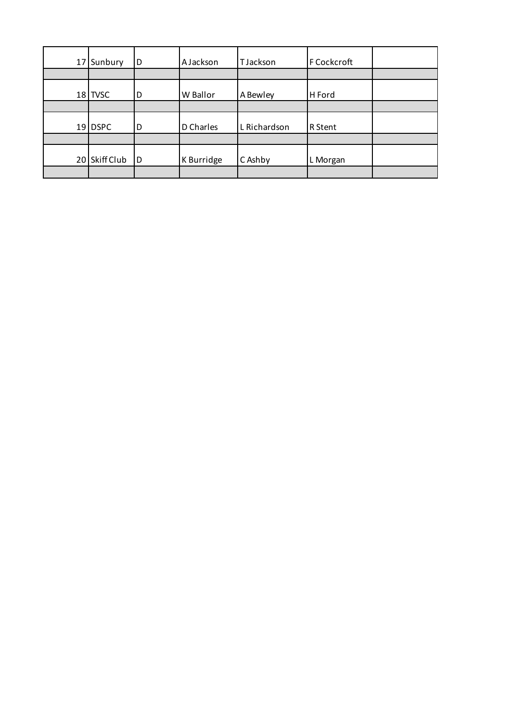| 17 | Sunbury     | D   | AJackson   | TJackson     | F Cockcroft |  |
|----|-------------|-----|------------|--------------|-------------|--|
|    |             |     |            |              |             |  |
|    | $18$ TVSC   | D   | W Ballor   | A Bewley     | H Ford      |  |
|    |             |     |            |              |             |  |
| 19 | <b>DSPC</b> | D   | D Charles  | L Richardson | R Stent     |  |
|    |             |     |            |              |             |  |
| 20 | Skiff Club  | l D | K Burridge | C Ashby      | L Morgan    |  |
|    |             |     |            |              |             |  |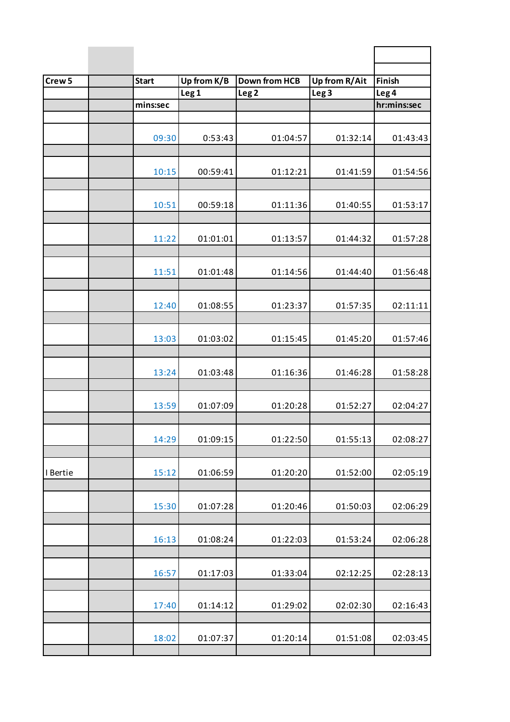| Crew <sub>5</sub> | <b>Start</b> | Up from K/B      | <b>Down from HCB</b> | Up from R/Ait    | Finish           |
|-------------------|--------------|------------------|----------------------|------------------|------------------|
|                   |              | Leg <sub>1</sub> | Leg <sub>2</sub>     | Leg <sub>3</sub> | Leg <sub>4</sub> |
|                   | mins:sec     |                  |                      |                  | hr:mins:sec      |
|                   |              |                  |                      |                  |                  |
|                   | 09:30        | 0:53:43          | 01:04:57             | 01:32:14         | 01:43:43         |
|                   | 10:15        | 00:59:41         | 01:12:21             | 01:41:59         | 01:54:56         |
|                   | 10:51        | 00:59:18         | 01:11:36             | 01:40:55         | 01:53:17         |
|                   | 11:22        | 01:01:01         | 01:13:57             | 01:44:32         | 01:57:28         |
|                   | 11:51        | 01:01:48         | 01:14:56             | 01:44:40         | 01:56:48         |
|                   | 12:40        | 01:08:55         | 01:23:37             | 01:57:35         | 02:11:11         |
|                   | 13:03        | 01:03:02         | 01:15:45             | 01:45:20         | 01:57:46         |
|                   | 13:24        | 01:03:48         | 01:16:36             | 01:46:28         | 01:58:28         |
|                   | 13:59        | 01:07:09         | 01:20:28             | 01:52:27         | 02:04:27         |
|                   | 14:29        | 01:09:15         | 01:22:50             | 01:55:13         | 02:08:27         |
| I Bertie          | 15:12        | 01:06:59         | 01:20:20             | 01:52:00         | 02:05:19         |
|                   | 15:30        | 01:07:28         | 01:20:46             | 01:50:03         | 02:06:29         |
|                   | 16:13        | 01:08:24         | 01:22:03             | 01:53:24         | 02:06:28         |
|                   | 16:57        | 01:17:03         | 01:33:04             | 02:12:25         | 02:28:13         |
|                   | 17:40        | 01:14:12         | 01:29:02             | 02:02:30         | 02:16:43         |
|                   | 18:02        | 01:07:37         | 01:20:14             | 01:51:08         | 02:03:45         |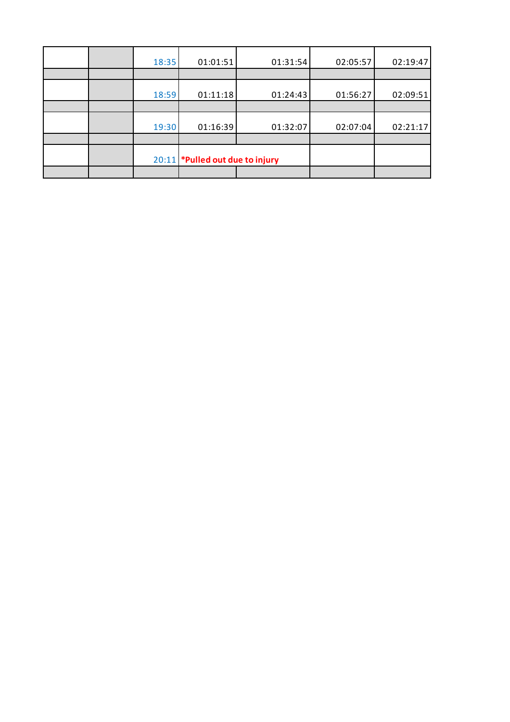|  | 18:35 | 01:01:51                        | 01:31:54 | 02:05:57 | 02:19:47 |
|--|-------|---------------------------------|----------|----------|----------|
|  |       |                                 |          |          |          |
|  | 18:59 | 01:11:18                        | 01:24:43 | 01:56:27 | 02:09:51 |
|  |       |                                 |          |          |          |
|  | 19:30 | 01:16:39                        | 01:32:07 | 02:07:04 | 02:21:17 |
|  |       |                                 |          |          |          |
|  |       | 20:11 *Pulled out due to injury |          |          |          |
|  |       |                                 |          |          |          |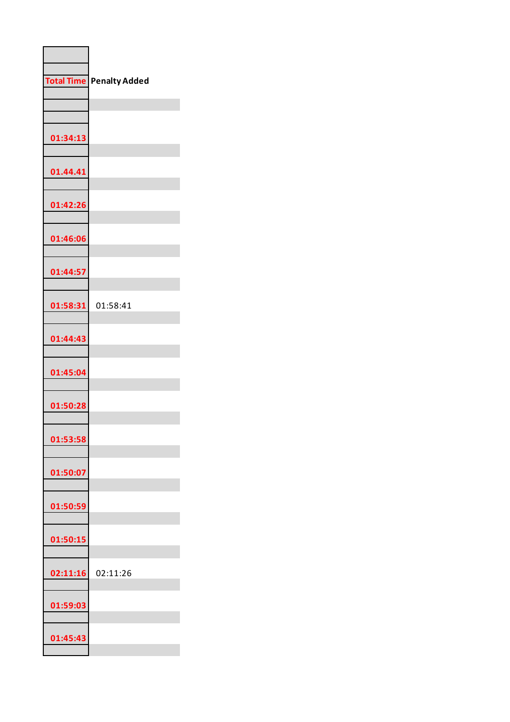| <b>Total Time</b> | <b>Penalty Added</b> |
|-------------------|----------------------|
|                   |                      |
| 01:34:13          |                      |
| 01.44.41          |                      |
| 01:42:26          |                      |
| 01:46:06          |                      |
| 01:44:57          |                      |
| 01:58:31          | 01:58:41             |
| 01:44:43          |                      |
| 01:45:04          |                      |
| 01:50:28          |                      |
| 01:53:58          |                      |
| 01:50:07          |                      |
| 01:50:59          |                      |
| 01:50:15          |                      |
| 02:11:16          | 02:11:26             |
| 01:59:03          |                      |
| 01:45:43          |                      |